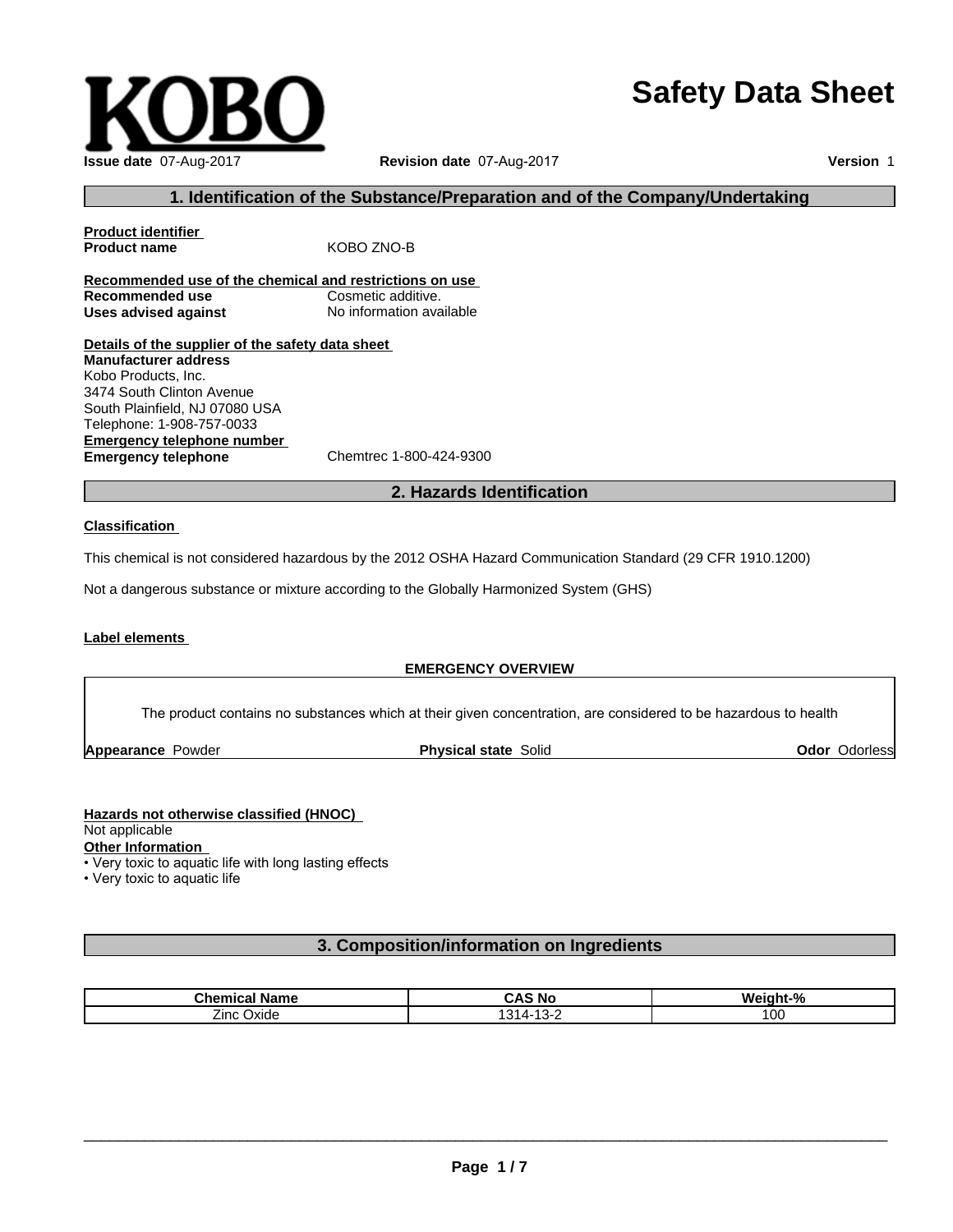# **Safety Data Sheet**



## **1. Identification of the Substance/Preparation and of the Company/Undertaking**

**Product identifier Product name** KOBO ZNO-B **Recommended use of the chemical and restrictions on use Recommended use Cosmetic additive. Uses advised against** No information available **Details of the supplier of the safety data sheet Manufacturer address** Kobo Products, Inc.

**Emergency telephone number Emergency telephone** Chemtrec 1-800-424-9300 3474 South Clinton Avenue South Plainfield, NJ 07080 USA Telephone: 1-908-757-0033

### **2. Hazards Identification**

#### **Classification**

This chemical is not considered hazardous by the 2012 OSHA Hazard Communication Standard (29 CFR 1910.1200)

Not a dangerous substance or mixture according to the Globally Harmonized System (GHS)

#### **Label elements**

### **EMERGENCY OVERVIEW**

The product contains no substances which at their given concentration, are considered to be hazardous to health

**Appearance Powder <b>Physical state** Solid

**Odor** Odorless

# **Hazards not otherwise classified (HNOC)**

Not applicable

**Other Information**

• Very toxic to aquatic life with long lasting effects

• Very toxic to aquatic life

# **3. Composition/information on Ingredients**

| <b>Chemical Name</b> | $\epsilon$<br>∶ No<br>. И<br>r.<br>.<br>nu | <br>0.<br>Weight- |
|----------------------|--------------------------------------------|-------------------|
| ∠inc<br>Jxide<br>--  | - 12<br>∼-<br>. ט<br>ີ                     | Ωr<br>vu          |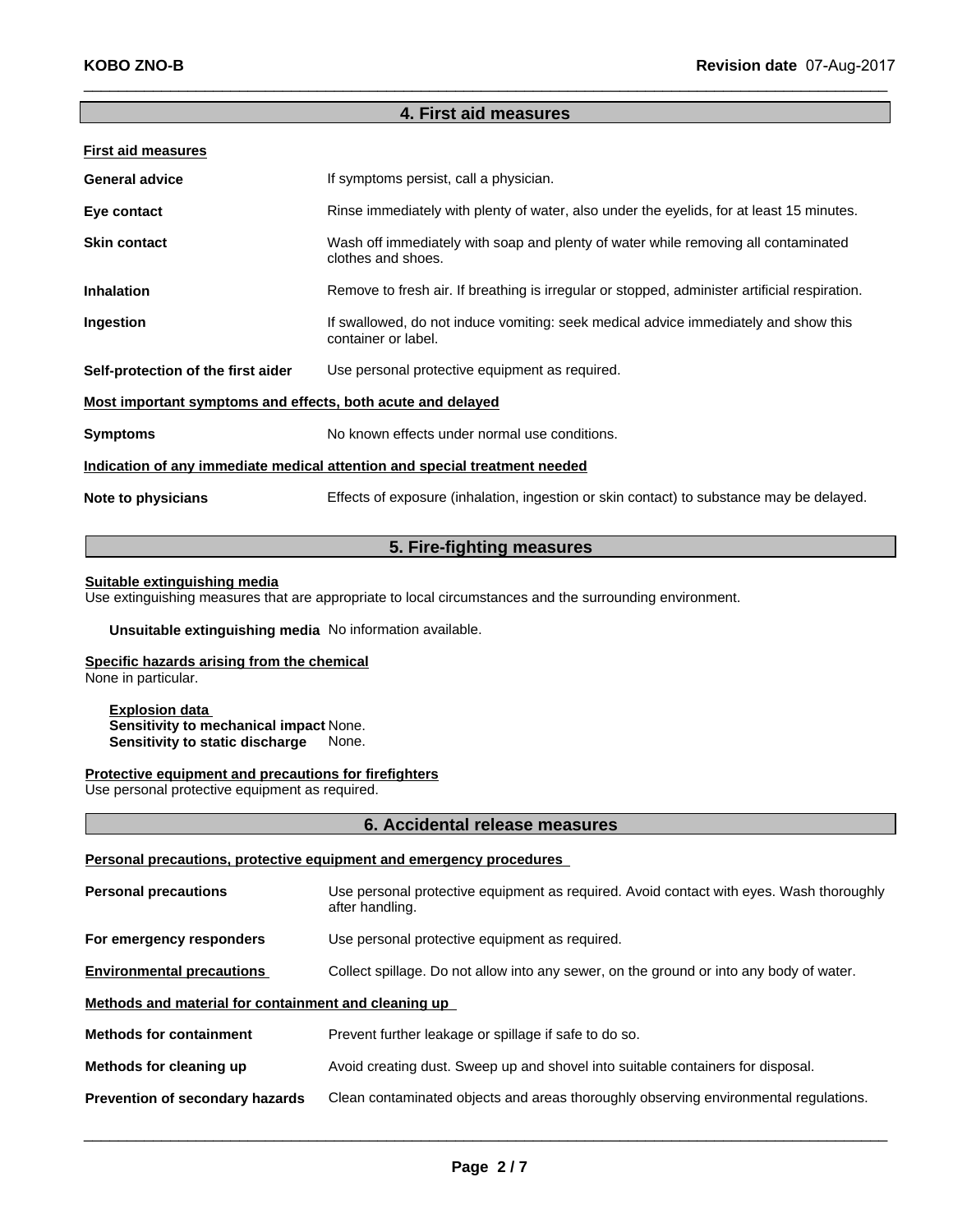# **4. First aid measures**

| <b>First aid measures</b>                                                  |                                                                                                            |  |
|----------------------------------------------------------------------------|------------------------------------------------------------------------------------------------------------|--|
| <b>General advice</b>                                                      | If symptoms persist, call a physician.                                                                     |  |
| Eye contact                                                                | Rinse immediately with plenty of water, also under the eyelids, for at least 15 minutes.                   |  |
| <b>Skin contact</b>                                                        | Wash off immediately with soap and plenty of water while removing all contaminated<br>clothes and shoes.   |  |
| <b>Inhalation</b>                                                          | Remove to fresh air. If breathing is irregular or stopped, administer artificial respiration.              |  |
| Ingestion                                                                  | If swallowed, do not induce vomiting: seek medical advice immediately and show this<br>container or label. |  |
| Self-protection of the first aider                                         | Use personal protective equipment as required.                                                             |  |
| Most important symptoms and effects, both acute and delayed                |                                                                                                            |  |
| <b>Symptoms</b>                                                            | No known effects under normal use conditions.                                                              |  |
| Indication of any immediate medical attention and special treatment needed |                                                                                                            |  |
| Note to physicians                                                         | Effects of exposure (inhalation, ingestion or skin contact) to substance may be delayed.                   |  |
|                                                                            |                                                                                                            |  |

# **5. Fire-fighting measures**

#### **Suitable extinguishing media**

Use extinguishing measures that are appropriate to local circumstances and the surrounding environment.

**Unsuitable extinguishing media** No information available.

### **Specific hazards arising from the chemical**

None in particular.

**Explosion data Sensitivity to mechanical impact** None. **Sensitivity to static discharge** None.

#### **Protective equipment and precautions for firefighters**

Use personal protective equipment as required.

#### **6. Accidental release measures**

### **Personal precautions, protective equipment and emergency procedures**

| <b>Personal precautions</b>                          | Use personal protective equipment as required. Avoid contact with eyes. Wash thoroughly<br>after handling. |  |
|------------------------------------------------------|------------------------------------------------------------------------------------------------------------|--|
| For emergency responders                             | Use personal protective equipment as required.                                                             |  |
| <b>Environmental precautions</b>                     | Collect spillage. Do not allow into any sewer, on the ground or into any body of water.                    |  |
| Methods and material for containment and cleaning up |                                                                                                            |  |
| <b>Methods for containment</b>                       | Prevent further leakage or spillage if safe to do so.                                                      |  |
| Methods for cleaning up                              | Avoid creating dust. Sweep up and shovel into suitable containers for disposal.                            |  |
| Prevention of secondary hazards                      | Clean contaminated objects and areas thoroughly observing environmental regulations.                       |  |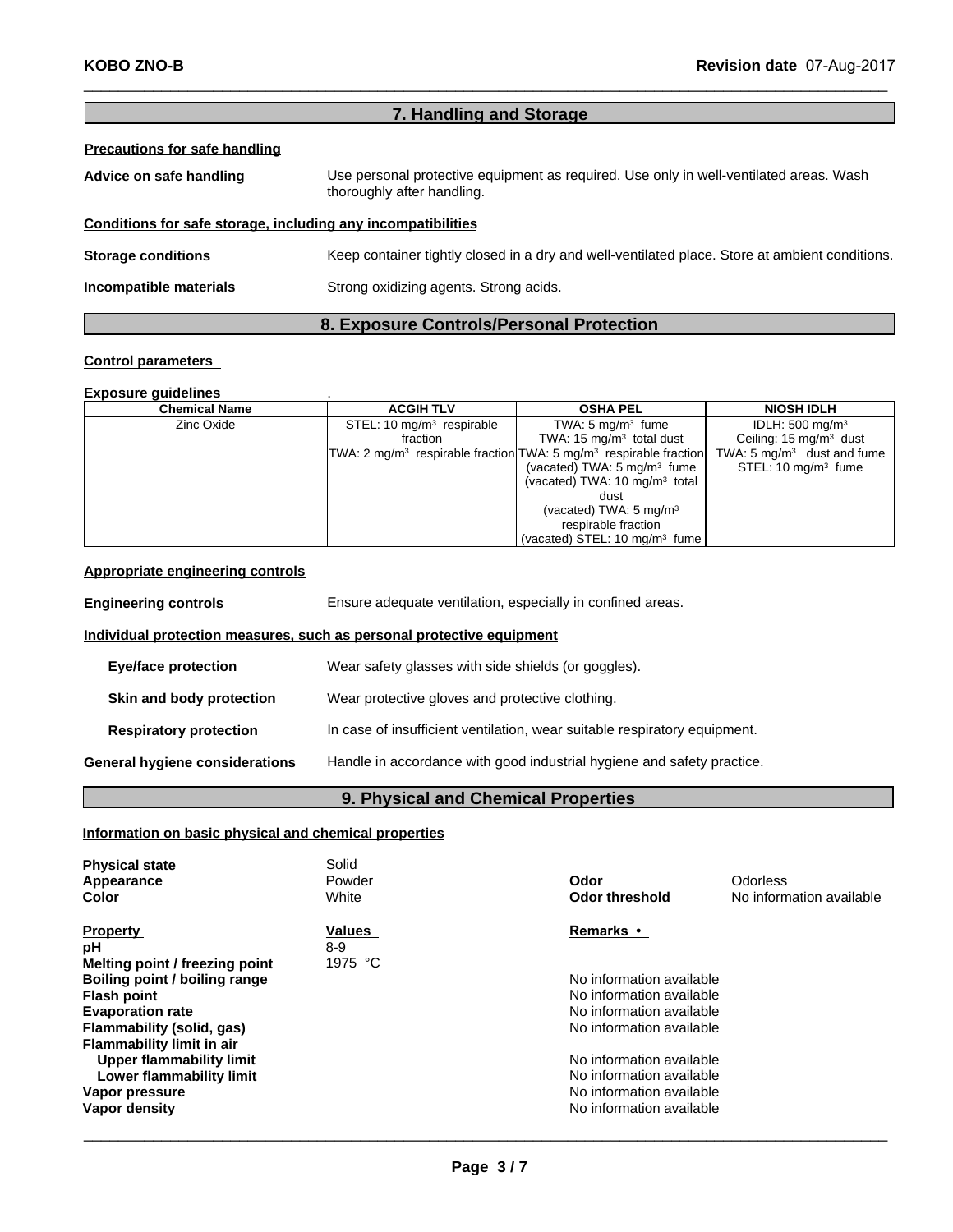# **7. Handling and Storage**

### **Precautions for safe handling**

| Advice on safe handling                                      | Use personal protective equipment as required. Use only in well-ventilated areas. Wash<br>thoroughly after handling. |
|--------------------------------------------------------------|----------------------------------------------------------------------------------------------------------------------|
| Conditions for safe storage, including any incompatibilities |                                                                                                                      |
| <b>Storage conditions</b>                                    | Keep container tightly closed in a dry and well-ventilated place. Store at ambient conditions.                       |
| Incompatible materials                                       | Strong oxidizing agents. Strong acids.                                                                               |
|                                                              |                                                                                                                      |

# **8. Exposure Controls/Personal Protection**

#### **Control parameters**

#### **Exposure guidelines**<br> **Exposure Chemical Name**  $\begin{array}{|c|c|c|c|c|}\n\hline\n\end{array}$  **ACGIH TLV Chemical Name ACGIH TLV OSHA PEL NIOSH IDLH** Zinc Oxide STEL: 10 mg/m<sup>3</sup> respirable respirable | TWA: 5 mg/m<sup>3</sup> fume | fraction TWA: 2 mg/m<sup>3</sup> respirable fraction respirable fraction TWA: 5 mg/m<sup>3</sup> respirable fraction fume | IDLH: 500 mg/m<sup>3</sup> | TWA: 15 mg/m<sup>3</sup> total dust | Ce respirable fraction TWA: 5 mg/m<sup>3</sup> dust a (vacated) TWA:  $5 \text{ mg/m}^3$  fume  $\vert$  S fume  $\vert$  STEL: 10 mg/m<sup>3</sup> (vacated) TWA: 10 mg/m<sup>3</sup> total dust (vacated) TWA: 5 mg/m<sup>3</sup> respirable fraction (vacated) STEL: 10 mg/m<sup>3</sup> fume Ceiling: 15 mg/m<sup>3</sup> dust TWA: 5 mg/m<sup>3</sup> dust and fume | STEL: 10 mg/m<sup>3</sup> fume

#### **Appropriate engineering controls**

| <b>Engineering controls</b>                                           | Ensure adequate ventilation, especially in confined areas.                |  |  |
|-----------------------------------------------------------------------|---------------------------------------------------------------------------|--|--|
| Individual protection measures, such as personal protective equipment |                                                                           |  |  |
| <b>Eye/face protection</b>                                            | Wear safety glasses with side shields (or goggles).                       |  |  |
| Skin and body protection                                              | Wear protective gloves and protective clothing.                           |  |  |
| <b>Respiratory protection</b>                                         | In case of insufficient ventilation, wear suitable respiratory equipment. |  |  |
| General hygiene considerations                                        | Handle in accordance with good industrial hygiene and safety practice.    |  |  |
|                                                                       |                                                                           |  |  |

# **9. Physical and Chemical Properties**

### **Information on basic physical and chemical properties**

| <b>Physical state</b><br>Appearance<br><b>Color</b> | Solid<br>Powder<br>White | Odor<br>Odor threshold   | <b>Odorless</b><br>No information available |
|-----------------------------------------------------|--------------------------|--------------------------|---------------------------------------------|
| <b>Property</b>                                     | <b>Values</b>            | Remarks •                |                                             |
| рH                                                  | $8 - 9$                  |                          |                                             |
| Melting point / freezing point                      | 1975 °C                  |                          |                                             |
| Boiling point / boiling range                       |                          | No information available |                                             |
| Flash point                                         |                          | No information available |                                             |
| <b>Evaporation rate</b>                             |                          | No information available |                                             |
| Flammability (solid, gas)                           |                          | No information available |                                             |
| <b>Flammability limit in air</b>                    |                          |                          |                                             |
| <b>Upper flammability limit</b>                     |                          | No information available |                                             |
| Lower flammability limit                            |                          | No information available |                                             |
| Vapor pressure                                      |                          | No information available |                                             |
|                                                     |                          | No information available |                                             |
| Vapor density                                       |                          |                          |                                             |
|                                                     |                          |                          |                                             |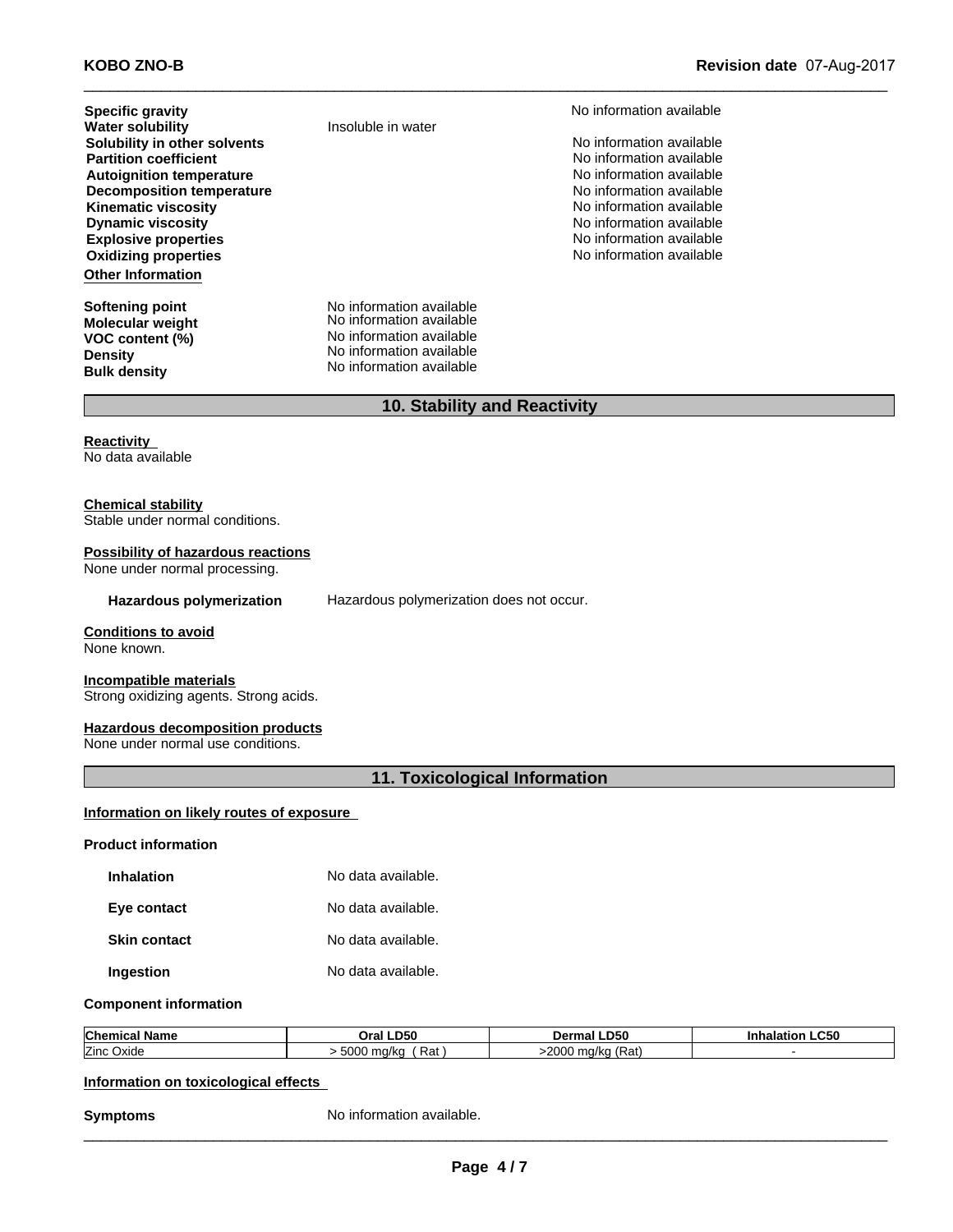**Other Information Partition coefficient** Noinformation available **Autoignition temperature**<br> **Decomposition temperature No** information available<br>
No information available **Decomposition temperature**  $\blacksquare$  No information available<br> **Kinematic viscosity** No information available **Kinematic viscosity**<br> **No information available**<br> **Dynamic viscosity**<br> **No information available Dynamic viscosity**<br> **Explosive properties**<br> **Explosive properties Explosive properties**<br> **Explosive properties**<br> **Oxidizing properties**<br> **No information available Oxidizing properties Specific gravity**<br> **Water solubility** Thisoluble in water<br> **Water solubility** Thisoluble in water **Solubility in other solvents** Noinformation available not a set of the solution of the solution available of the solution available of the solution of the solution available of the solution of the solution of the solution

**Molecular weight Density Bulk density**

**Insoluble in water** 

**Softening point** No information available **VOC** content (%) No information available No information available No information available No information available

# **10. Stability and Reactivity**

**Reactivity** No data available

#### **Chemical stability**

Stable under normal conditions.

#### **Possibility of hazardous reactions**

None under normal processing.

**Hazardous polymerization** Hazardous polymerization does not occur.

#### **Conditions to avoid**

None known.

#### **Incompatible materials**

Strong oxidizing agents. Strong acids.

#### **Hazardous decomposition products**

None under normal use conditions.

# **11. Toxicological Information**

# **Information on likely routes of exposure**<br>Product information

| Inhalation   | No data available. |
|--------------|--------------------|
| Eye contact  | No data available. |
| Skin contact | No data available. |
| Ingestion    | No data available. |

#### **Component information**

| <b>Chemical</b> | -D50                                          | <b>D50</b>                           | LC50 |
|-----------------|-----------------------------------------------|--------------------------------------|------|
| Name            | Oral                                          | Dermal                               |      |
| Zinc Oxide      | 5000<br>D <sub>o</sub><br>---<br>ma/kc<br>και | <b>SOUC</b><br>(Rat)<br>a/ka<br>'ZUU |      |

#### **Information on toxicological effects**

**Symptoms** No information available.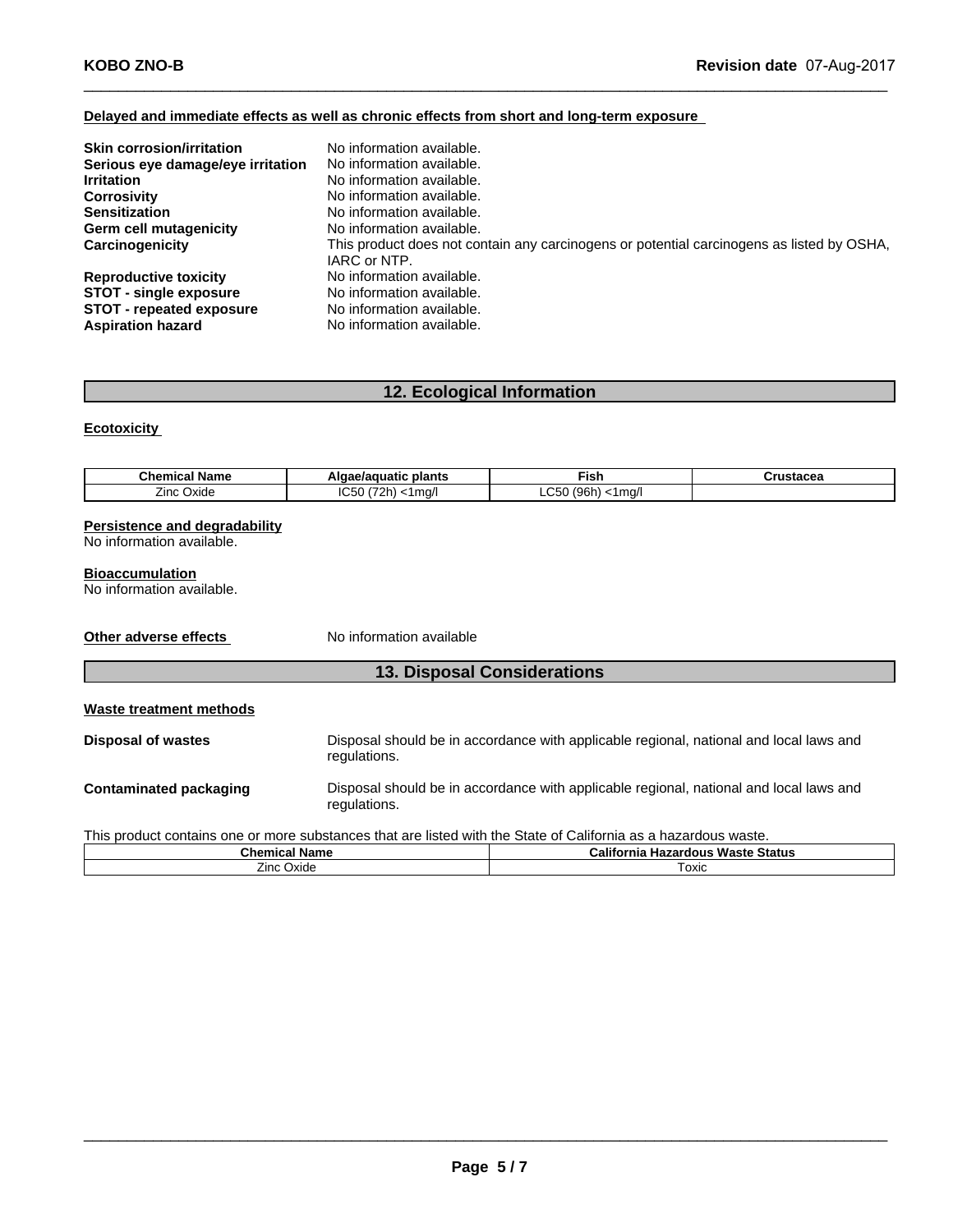#### **Delayed and immediate effects as well as chronic effects from short and long-term exposure**

| <b>Skin corrosion/irritation</b>  | No information available.                                                                                 |
|-----------------------------------|-----------------------------------------------------------------------------------------------------------|
| Serious eye damage/eye irritation | No information available.                                                                                 |
| <b>Irritation</b>                 | No information available.                                                                                 |
| <b>Corrosivity</b>                | No information available.                                                                                 |
| <b>Sensitization</b>              | No information available.                                                                                 |
| <b>Germ cell mutagenicity</b>     | No information available.                                                                                 |
| Carcinogenicity                   | This product does not contain any carcinogens or potential carcinogens as listed by OSHA,<br>IARC or NTP. |
| <b>Reproductive toxicity</b>      | No information available.                                                                                 |
| <b>STOT - single exposure</b>     | No information available.                                                                                 |
| STOT - repeated exposure          | No information available.                                                                                 |
| <b>Aspiration hazard</b>          | No information available.                                                                                 |

# **12. Ecological Information**

#### **Ecotoxicity**

| <b>Chemical Name</b> | plants<br>.<br>שונ<br>ae/auualic | ⊡sh.                               | <br>wslacea |
|----------------------|----------------------------------|------------------------------------|-------------|
| -.<br>Oxide<br>∠inc  | IC <sub>5</sub><br>- -<br>1ma    | $\sim$ $-$<br>1061<br>1 ma/i<br>50 |             |

#### **Persistence and degradability**

No information available.

#### **Bioaccumulation**

No information available.

**Other adverse effects** No information available

# **13. Disposal Considerations**

| Waste treatment methods |
|-------------------------|
|-------------------------|

| <b>Disposal of wastes</b> | Disposal should be in accordance with applicable regional, national and local laws and |
|---------------------------|----------------------------------------------------------------------------------------|
|                           | regulations.                                                                           |
|                           |                                                                                        |

**Contaminated packaging** Disposal should be in accordance with applicable regional, national and local laws and regulations.

This product contains one or more substances that are listed with the State of California as a hazardous waste.

| Chemical<br>' Name | $\sim$ $\sim$ $\sim$<br>California'<br>: Waste Status<br>Hazardous |
|--------------------|--------------------------------------------------------------------|
| Oxide<br>∠ınc      | ⊺oxic                                                              |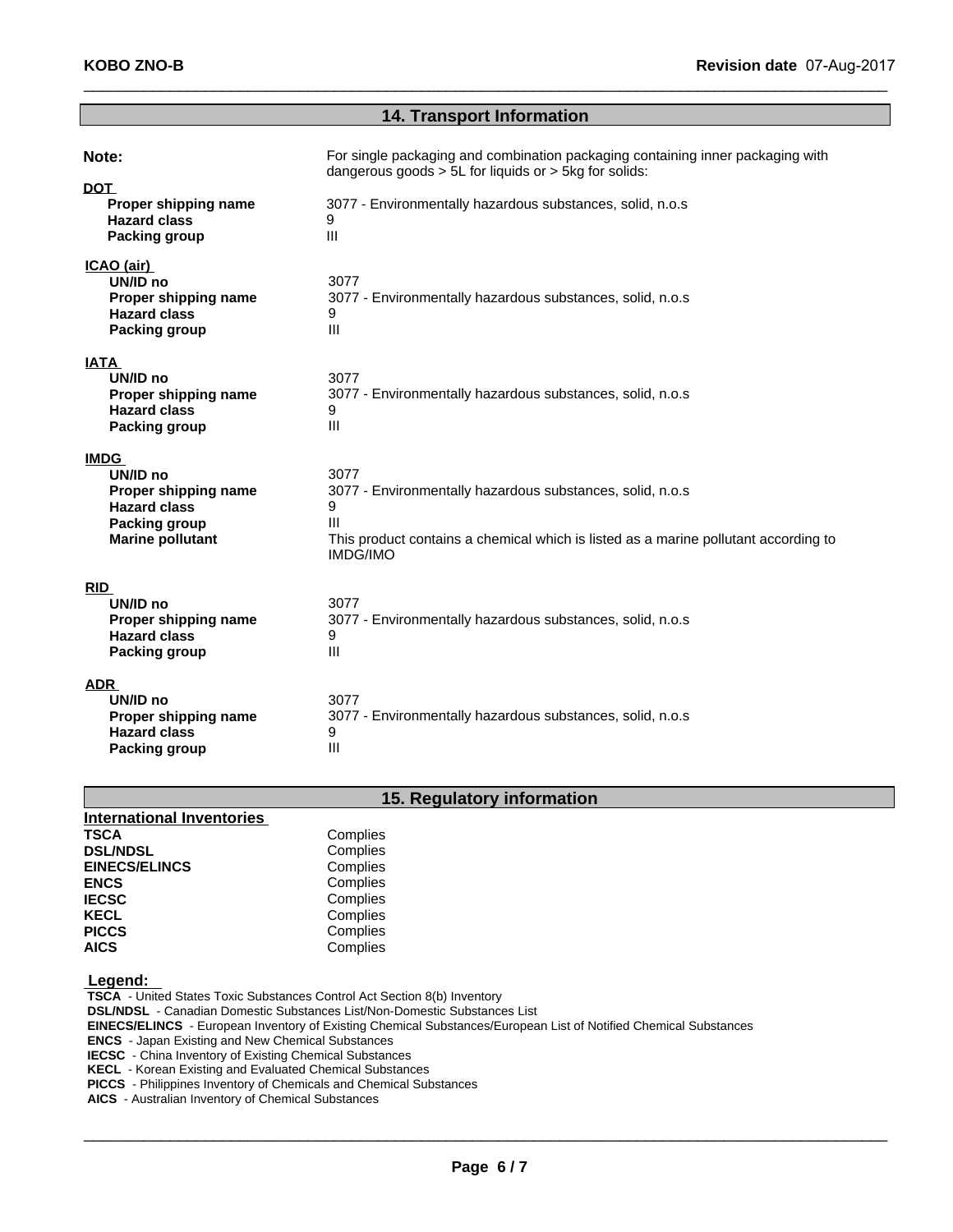# **14. Transport Information**

| Note:                                                                                                                     | For single packaging and combination packaging containing inner packaging with<br>dangerous goods > 5L for liquids or > 5kg for solids:                                               |
|---------------------------------------------------------------------------------------------------------------------------|---------------------------------------------------------------------------------------------------------------------------------------------------------------------------------------|
| <b>DOT</b><br>Proper shipping name<br><b>Hazard class</b><br>Packing group                                                | 3077 - Environmentally hazardous substances, solid, n.o.s<br>9<br>Ш                                                                                                                   |
| ICAO (air)<br>UN/ID no<br>Proper shipping name<br><b>Hazard class</b><br><b>Packing group</b>                             | 3077<br>3077 - Environmentally hazardous substances, solid, n.o.s<br>9<br>Ш                                                                                                           |
| <b>IATA</b><br>UN/ID no<br>Proper shipping name<br><b>Hazard class</b><br><b>Packing group</b>                            | 3077<br>3077 - Environmentally hazardous substances, solid, n.o.s<br>9<br>$\mathbf{III}$                                                                                              |
| <b>IMDG</b><br>UN/ID no<br>Proper shipping name<br><b>Hazard class</b><br><b>Packing group</b><br><b>Marine pollutant</b> | 3077<br>3077 - Environmentally hazardous substances, solid, n.o.s<br>9<br>Ш<br>This product contains a chemical which is listed as a marine pollutant according to<br><b>IMDG/IMO</b> |
| <b>RID</b><br>UN/ID no<br>Proper shipping name<br><b>Hazard class</b><br>Packing group                                    | 3077<br>3077 - Environmentally hazardous substances, solid, n.o.s<br>9<br>III                                                                                                         |
| <b>ADR</b><br>UN/ID no<br>Proper shipping name<br><b>Hazard class</b><br>Packing group                                    | 3077<br>3077 - Environmentally hazardous substances, solid, n.o.s<br>9<br>III                                                                                                         |

# **15. Regulatory information**

| <b>International Inventories</b> |          |
|----------------------------------|----------|
| <b>TSCA</b>                      | Complies |
| <b>DSL/NDSL</b>                  | Complies |
| <b>EINECS/ELINCS</b>             | Complies |
| <b>ENCS</b>                      | Complies |
| <b>IECSC</b>                     | Complies |
| <b>KECL</b>                      | Complies |
| <b>PICCS</b>                     | Complies |
| <b>AICS</b>                      | Complies |

 **Legend:** 

 **TSCA** - United States Toxic Substances Control Act Section 8(b) Inventory

 **DSL/NDSL** - Canadian Domestic Substances List/Non-Domestic Substances List

 **EINECS/ELINCS** - European Inventory of Existing Chemical Substances/European List of Notified Chemical Substances

 **ENCS** - Japan Existing and New Chemical Substances

 **IECSC** - China Inventory of Existing Chemical Substances

 **KECL** - Korean Existing and Evaluated Chemical Substances

 **PICCS** - Philippines Inventory of Chemicals and Chemical Substances

 **AICS** - Australian Inventory of Chemical Substances